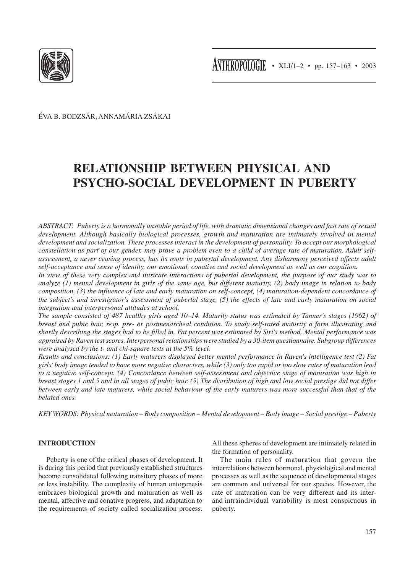

ÉVA B. BODZSÁR, ANNAMÁRIA ZSÁKAI

# **RELATIONSHIP BETWEEN PHYSICAL AND PSYCHO-SOCIAL DEVELOPMENT IN PUBERTY**

*ABSTRACT: Puberty is a hormonally unstable period of life, with dramatic dimensional changes and fast rate of sexual development. Although basically biological processes, growth and maturation are intimately involved in mental development and socialization. These processes interact in the development of personality. To accept our morphological constellation as part of our gender, may prove a problem even to a child of average rate of maturation. Adult selfassessment, a never ceasing process, has its roots in pubertal development. Any disharmony perceived affects adult self-acceptance and sense of identity, our emotional, conative and social development as well as our cognition.*

*In view of these very complex and intricate interactions of pubertal development, the purpose of our study was to analyze (1) mental development in girls of the same age, but different maturity, (2) body image in relation to body composition, (3) the influence of late and early maturation on self-concept, (4) maturation-dependent concordance of the subject's and investigator's assessment of pubertal stage, (5) the effects of late and early maturation on social integration and interpersonal attitudes at school.*

*The sample consisted of 487 healthy girls aged 10–14. Maturity status was estimated by Tanner's stages (1962) of breast and pubic hair, resp. pre- or postmenarcheal condition. To study self-rated maturity a form illustrating and shortly describing the stages had to be filled in. Fat percent was estimated by Siri's method. Mental performance was appraised by Raven test scores. Interpersonal relationships were studied by a 30-item questionnaire. Subgroup differences were analysed by the t- and chi-square tests at the 5% level.*

*Results and conclusions: (1) Early maturers displayed better mental performance in Raven's intelligence test (2) Fat girls' body image tended to have more negative characters, while (3) only too rapid or too slow rates of maturation lead to a negative self-concept. (4) Concordance between self-assessment and objective stage of maturation was high in breast stages 1 and 5 and in all stages of pubic hair. (5) The distribution of high and low social prestige did not differ between early and late maturers, while social behaviour of the early maturers was more successful than that of the belated ones.*

*KEY WORDS: Physical maturation – Body composition – Mental development – Body image – Social prestige – Puberty*

# **INTRODUCTION**

Puberty is one of the critical phases of development. It is during this period that previously established structures become consolidated following transitory phases of more or less instability. The complexity of human ontogenesis embraces biological growth and maturation as well as mental, affective and conative progress, and adaptation to the requirements of society called socialization process. All these spheres of development are intimately related in the formation of personality.

The main rules of maturation that govern the interrelations between hormonal, physiological and mental processes as well as the sequence of developmental stages are common and universal for our species. However, the rate of maturation can be very different and its interand intraindividual variability is most conspicuous in puberty.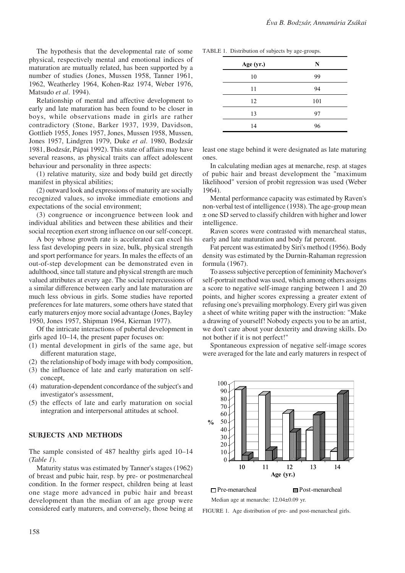The hypothesis that the developmental rate of some physical, respectively mental and emotional indices of maturation are mutually related, has been supported by a number of studies (Jones, Mussen 1958, Tanner 1961, 1962, Weatherley 1964, Kohen-Raz 1974, Weber 1976, Matsudo *et al*. 1994).

Relationship of mental and affective development to early and late maturation has been found to be closer in boys, while observations made in girls are rather contradictory (Stone, Barker 1937, 1939, Davidson, Gottlieb 1955, Jones 1957, Jones, Mussen 1958, Mussen, Jones 1957, Lindgren 1979, Duke *et al*. 1980, Bodzsár 1981, Bodzsár, Pápai 1992). This state of affairs may have several reasons, as physical traits can affect adolescent behaviour and personality in three aspects:

(1) relative maturity, size and body build get directly manifest in physical abilities;

(2) outward look and expressions of maturity are socially recognized values, so invoke immediate emotions and expectations of the social environment;

(3) congruence or incongruence between look and individual abilities and between these abilities and their social reception exert strong influence on our self-concept.

A boy whose growth rate is accelerated can excel his less fast developing peers in size, bulk, physical strength and sport performance for years. In males the effects of an out-of-step development can be demonstrated even in adulthood, since tall stature and physical strength are much valued attributes at every age. The social repercussions of a similar difference between early and late maturation are much less obvious in girls. Some studies have reported preferences for late maturers, some others have stated that early maturers enjoy more social advantage (Jones, Bayley 1950, Jones 1957, Shipman 1964, Kiernan 1977).

Of the intricate interactions of pubertal development in girls aged 10–14, the present paper focuses on:

- (1) mental development in girls of the same age, but different maturation stage,
- (2) the relationship of body image with body composition,
- (3) the influence of late and early maturation on selfconcept,
- (4) maturation-dependent concordance of the subject's and investigator's assessment,
- (5) the effects of late and early maturation on social integration and interpersonal attitudes at school.

#### **SUBJECTS AND METHODS**

The sample consisted of 487 healthy girls aged 10–14 (*Table 1*).

Maturity status was estimated by Tanner's stages (1962) of breast and pubic hair, resp. by pre- or postmenarcheal condition. In the former respect, children being at least one stage more advanced in pubic hair and breast development than the median of an age group were considered early maturers, and conversely, those being at

| TABLE 1. Distribution of subjects by age-groups. |  |  |  |  |
|--------------------------------------------------|--|--|--|--|
|--------------------------------------------------|--|--|--|--|

| Age (yr.) | N   |
|-----------|-----|
| 10        | 99  |
| 11        | 94  |
| 12        | 101 |
| 13        | 97  |
| 14        | 96  |

least one stage behind it were designated as late maturing ones.

In calculating median ages at menarche, resp. at stages of pubic hair and breast development the "maximum likelihood" version of probit regression was used (Weber 1964).

Mental performance capacity was estimated by Raven's non-verbal test of intelligence (1938). The age-group mean ± one SD served to classify children with higher and lower intelligence.

Raven scores were contrasted with menarcheal status, early and late maturation and body fat percent.

Fat percent was estimated by Siri's method (1956). Body density was estimated by the Durnin-Rahaman regression formula (1967).

To assess subjective perception of femininity Machover's self-portrait method was used, which among others assigns a score to negative self-image ranging between 1 and 20 points, and higher scores expressing a greater extent of refusing one's prevailing morphology. Every girl was given a sheet of white writing paper with the instruction: "Make a drawing of yourself! Nobody expects you to be an artist, we don't care about your dexterity and drawing skills. Do not bother if it is not perfect!"

Spontaneous expression of negative self-image scores were averaged for the late and early maturers in respect of



Pre-menarcheal Post-menarcheal Median age at menarche: 12.04±0.09 yr.

FIGURE 1. Age distribution of pre- and post-menarcheal girls.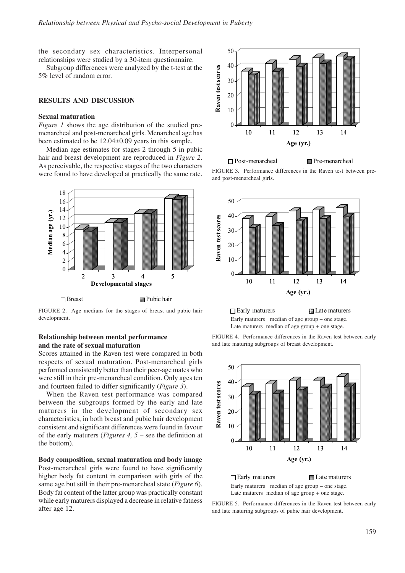the secondary sex characteristics. Interpersonal relationships were studied by a 30-item questionnaire.

Subgroup differences were analyzed by the t-test at the 5% level of random error.

# **RESULTS AND DISCUSSION**

#### **Sexual maturation**

*Figure 1* shows the age distribution of the studied premenarcheal and post-menarcheal girls. Menarcheal age has been estimated to be 12.04±0.09 years in this sample.

Median age estimates for stages 2 through 5 in pubic hair and breast development are reproduced in *Figure 2*. As perceivable, the respective stages of the two characters were found to have developed at practically the same rate.



FIGURE 2. Age medians for the stages of breast and pubic hair development.

### **Relationship between mental performance and the rate of sexual maturation**

Scores attained in the Raven test were compared in both respects of sexual maturation. Post-menarcheal girls performed consistently better than their peer-age mates who were still in their pre-menarcheal condition. Only ages ten and fourteen failed to differ significantly (*Figure 3*).

When the Raven test performance was compared between the subgroups formed by the early and late maturers in the development of secondary sex characteristics, in both breast and pubic hair development consistent and significant differences were found in favour of the early maturers (*Figures 4, 5 –* see the definition at the bottom).

**Body composition, sexual maturation and body image** Post-menarcheal girls were found to have significantly higher body fat content in comparison with girls of the same age but still in their pre-menarcheal state (*Figure 6*). Body fat content of the latter group was practically constant while early maturers displayed a decrease in relative fatness after age 12.



Post-menarcheal Pre-menarcheal FIGURE 3. Performance differences in the Raven test between preand post-menarcheal girls.



 $\Box$  Early maturers  $\Box$  Late maturers Early maturers median of age group – one stage. Late maturers median of age group + one stage.





Early maturers median of age group – one stage. Late maturers median of age group + one stage.

FIGURE 5. Performance differences in the Raven test between early and late maturing subgroups of pubic hair development.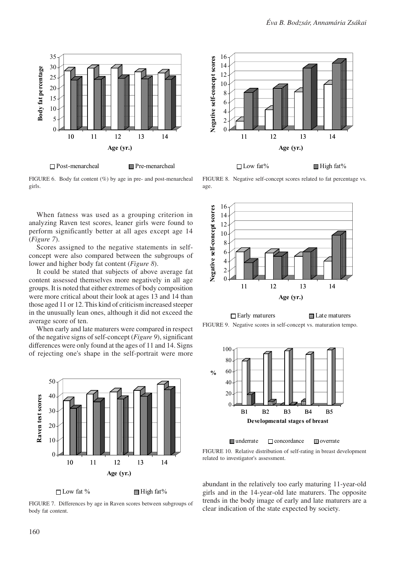

FIGURE 6. Body fat content (%) by age in pre- and post-menarcheal girls.

When fatness was used as a grouping criterion in analyzing Raven test scores, leaner girls were found to perform significantly better at all ages except age 14 (*Figure 7*).

Scores assigned to the negative statements in selfconcept were also compared between the subgroups of lower and higher body fat content (*Figure 8*).

It could be stated that subjects of above average fat content assessed themselves more negatively in all age groups. It is noted that either extremes of body composition were more critical about their look at ages 13 and 14 than those aged 11 or 12. This kind of criticism increased steeper in the unusually lean ones, although it did not exceed the average score of ten.

When early and late maturers were compared in respect of the negative signs of self-concept (*Figure 9*), significant differences were only found at the ages of 11 and 14. Signs of rejecting one's shape in the self-portrait were more



 $\Box$  Low fat %  $\Box$  High fat %

FIGURE 7. Differences by age in Raven scores between subgroups of body fat content.



 $\Box$  Low fat%  $\Box$  High fat%

FIGURE 8. Negative self-concept scores related to fat percentage vs. age.



FIGURE 9. Negative scores in self-concept vs. maturation tempo.



**underrate**  $\Box$  concordance  $\Box$  overrate

FIGURE 10. Relative distribution of self-rating in breast development related to investigator's assessment.

abundant in the relatively too early maturing 11-year-old girls and in the 14-year-old late maturers. The opposite trends in the body image of early and late maturers are a clear indication of the state expected by society.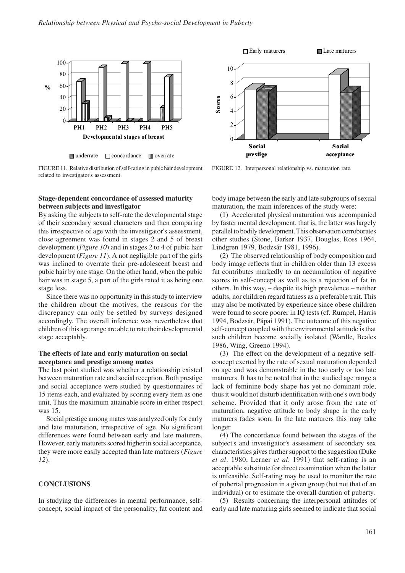

**s**underrate □ concordance ■ overrate

FIGURE 11. Relative distribution of self-rating in pubic hair development related to investigator's assessment.



By asking the subjects to self-rate the developmental stage of their secondary sexual characters and then comparing this irrespective of age with the investigator's assessment, close agreement was found in stages 2 and 5 of breast development (*Figure 10*) and in stages 2 to 4 of pubic hair development (*Figure 11*). A not negligible part of the girls was inclined to overrate their pre-adolescent breast and pubic hair by one stage. On the other hand, when the pubic hair was in stage 5, a part of the girls rated it as being one stage less.

Since there was no opportunity in this study to interview the children about the motives, the reasons for the discrepancy can only be settled by surveys designed accordingly. The overall inference was nevertheless that children of this age range are able to rate their developmental stage acceptably.

#### **The effects of late and early maturation on social acceptance and prestige among mates**

The last point studied was whether a relationship existed between maturation rate and social reception. Both prestige and social acceptance were studied by questionnaires of 15 items each, and evaluated by scoring every item as one unit. Thus the maximum attainable score in either respect was 15.

Social prestige among mates was analyzed only for early and late maturation, irrespective of age. No significant differences were found between early and late maturers. However, early maturers scored higher in social acceptance, they were more easily accepted than late maturers (*Figure 12*).

## **CONCLUSIONS**

In studying the differences in mental performance, selfconcept, social impact of the personality, fat content and



FIGURE 12. Interpersonal relationship vs. maturation rate.

body image between the early and late subgroups of sexual maturation, the main inferences of the study were:

(1) Accelerated physical maturation was accompanied by faster mental development, that is, the latter was largely parallel to bodily development. This observation corroborates other studies (Stone, Barker 1937, Douglas, Ross 1964, Lindgren 1979, Bodzsár 1981, 1996).

(2) The observed relationship of body composition and body image reflects that in children older than 13 excess fat contributes markedly to an accumulation of negative scores in self-concept as well as to a rejection of fat in others. In this way, – despite its high prevalence – neither adults, nor children regard fatness as a preferable trait. This may also be motivated by experience since obese children were found to score poorer in IQ tests (cf. Rumpel, Harris 1994, Bodzsár, Pápai 1991). The outcome of this negative self-concept coupled with the environmental attitude is that such children become socially isolated (Wardle, Beales 1986, Wing, Greeno 1994).

(3) The effect on the development of a negative selfconcept exerted by the rate of sexual maturation depended on age and was demonstrable in the too early or too late maturers. It has to be noted that in the studied age range a lack of feminine body shape has yet no dominant role, thus it would not disturb identification with one's own body scheme. Provided that it only arose from the rate of maturation, negative attitude to body shape in the early maturers fades soon. In the late maturers this may take longer.

(4) The concordance found between the stages of the subject's and investigator's assessment of secondary sex characteristics gives further support to the suggestion (Duke *et al*. 1980, Lerner *et al*. 1991) that self-rating is an acceptable substitute for direct examination when the latter is unfeasible. Self-rating may be used to monitor the rate of pubertal progression in a given group (but not that of an individual) or to estimate the overall duration of puberty.

(5) Results concerning the interpersonal attitudes of early and late maturing girls seemed to indicate that social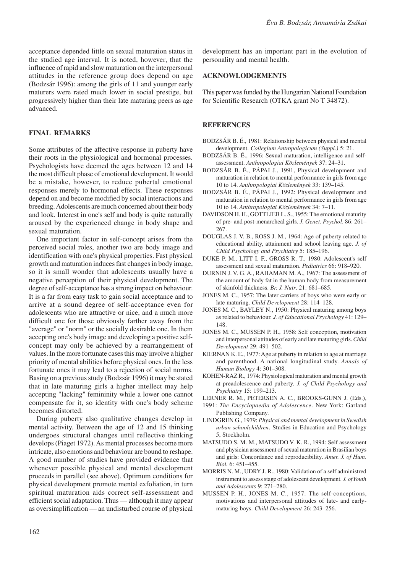acceptance depended little on sexual maturation status in the studied age interval. It is noted, however, that the influence of rapid and slow maturation on the interpersonal attitudes in the reference group does depend on age (Bodzsár 1996): among the girls of 11 and younger early maturers were rated much lower in social prestige, but progressively higher than their late maturing peers as age advanced.

# **FINAL REMARKS**

Some attributes of the affective response in puberty have their roots in the physiological and hormonal processes. Psychologists have deemed the ages between 12 and 14 the most difficult phase of emotional development. It would be a mistake, however, to reduce pubertal emotional responses merely to hormonal effects. These responses depend on and become modified by social interactions and breeding. Adolescents are much concerned about their body and look. Interest in one's self and body is quite naturally aroused by the experienced change in body shape and sexual maturation.

One important factor in self-concept arises from the perceived social roles, another two are body image and identification with one's physical properties. Fast physical growth and maturation induces fast changes in body image, so it is small wonder that adolescents usually have a negative perception of their physical development. The degree of self-acceptance has a strong impact on behaviour. It is a far from easy task to gain social acceptance and to arrive at a sound degree of self-acceptance even for adolescents who are attractive or nice, and a much more difficult one for those obviously farther away from the "average" or "norm" or the socially desirable one. In them accepting one's body image and developing a positive selfconcept may only be achieved by a rearrangement of values. In the more fortunate cases this may involve a higher priority of mental abilities before physical ones. In the less fortunate ones it may lead to a rejection of social norms. Basing on a previous study (Bodzsár 1996) it may be stated that in late maturing girls a higher intellect may help accepting "lacking" femininity while a lower one cannot compensate for it, so identity with one's body scheme becomes distorted.

During puberty also qualitative changes develop in mental activity. Between the age of 12 and 15 thinking undergoes structural changes until reflective thinking develops (Piaget 1972). As mental processes become more intricate, also emotions and behaviour are bound to reshape. A good number of studies have provided evidence that whenever possible physical and mental development proceeds in parallel (see above). Optimum conditions for physical development promote mental exfoliation, in turn spiritual maturation aids correct self-assessment and efficient social adaptation. Thus — although it may appear as oversimplification — an undisturbed course of physical

development has an important part in the evolution of personality and mental health.

#### **ACKNOWLODGEMENTS**

This paper was funded by the Hungarian National Foundation for Scientific Research (OTKA grant No T 34872).

#### **REFERENCES**

- BODZSÁR B. É., 1981: Relationship between physical and mental development. *Collegium Antropologicum (Suppl.)* 5: 21.
- BODZSÁR B. É., 1996: Sexual maturation, intelligence and selfassessment. *Anthropologiai Közlemények* 37: 24–31.
- BODZSÁR B. É., PÁPAI J., 1991, Physical development and maturation in relation to mental performance in girls from age 10 to 14. *Anthropologiai Közlemények* 33: 139–145.
- BODZSÁR B. É., PÁPAI J., 1992: Physical development and maturation in relation to mental performance in girls from age 10 to 14. *Anthropologiai Közlemények* 34: 7–11.
- DAVIDSON H. H., GOTTLIEB L. S., 1955: The emotional maturity of pre- and post-menarcheal girls. *J. Genet. Psychol*. 86: 261– 267.
- DOUGLAS J. V. B., ROSS J. M., 1964: Age of puberty related to educational ability, attainment and school leaving age. *J. of Child Psychology and Psychiatry* 5: 185–196.
- DUKE P. M., LITT I. F., GROSS R. T., 1980: Adolescent's self assessment and sexual maturation. *Pediatrics* 66: 918–920.
- DURNIN J. V. G. A., RAHAMAN M. A., 1967: The assessment of the amount of body fat in the human body from measurement of skinfold thickness. *Br. J. Nutr*. 21: 681–685.
- JONES M. C., 1957: The later carriers of boys who were early or late maturing. *Child Development* 28: 114–128.
- JONES M. C., BAYLEY N., 1950: Physical maturing among boys as related to behaviour. *J. of Educational Psychology* 41: 129– 148.
- JONES M. C., MUSSEN P. H., 1958: Self conception, motivation and interpersonal attitudes of early and late maturing girls. *Child Development* 29: 491–502.
- KIERNAN K. E., 1977: Age at puberty in relation to age at marriage and parenthood. A national longitudinal study. *Annals of Human Biology* 4: 301–308.
- KOHEN-RAZ R., 1974: Physiological maturation and mental growth at preadolescence and puberty. *J. of Child Psychology and Psychiatry* 15: 199–213.
- LERNER R. M., PETERSEN A. C., BROOKS-GUNN J. (Eds.),
- 1991: *The Encyclopaedia of Adolescence*. New York: Garland Publishing Company.
- LINDGREN G., 1979: *Physical and mental development in Swedish urban schoolchildren*. Studies in Education and Psychology 5, Stockholm.
- MATSUDO S. M. M., MATSUDO V. K. R., 1994: Self assessment and physician assessment of sexual maturation in Brasilian boys and girls: Concordance and reproducibility. *Amer. J. of Hum. Biol.* 6: 451–455.
- MORRIS N. M., UDRY J. R., 1980: Validation of a self administred instrument to assess stage of adolescent development. *J. of Youth and Adolescents* 9: 271–280.
- MUSSEN P. H., JONES M. C., 1957: The self-conceptions, motivations and interpersonal attitudes of late- and earlymaturing boys. *Child Development* 26: 243–256.